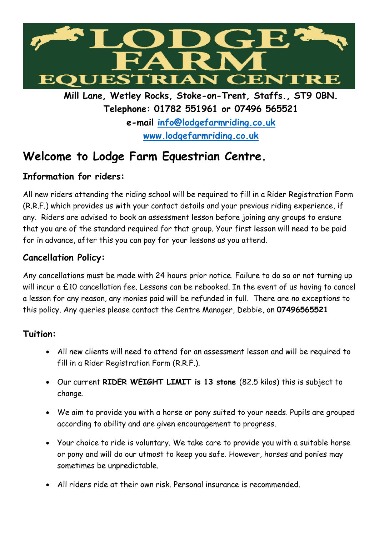

**Mill Lane, Wetley Rocks, Stoke-on-Trent, Staffs., ST9 0BN. Telephone: 01782 551961 or 07496 565521 e-mail [info@lodgefarmriding.co.uk](mailto:info@lodgefarmriding.co.uk) [www.lodgefarmriding.co.uk](http://www.lodgefarmriding.co.uk/)**

# **Welcome to Lodge Farm Equestrian Centre.**

## **Information for riders:**

All new riders attending the riding school will be required to fill in a Rider Registration Form (R.R.F.) which provides us with your contact details and your previous riding experience, if any. Riders are advised to book an assessment lesson before joining any groups to ensure that you are of the standard required for that group. Your first lesson will need to be paid for in advance, after this you can pay for your lessons as you attend.

# **Cancellation Policy:**

Any cancellations must be made with 24 hours prior notice. Failure to do so or not turning up will incur a £10 cancellation fee. Lessons can be rebooked. In the event of us having to cancel a lesson for any reason, any monies paid will be refunded in full. There are no exceptions to this policy. Any queries please contact the Centre Manager, Debbie, on **07496565521**

## **Tuition:**

- All new clients will need to attend for an assessment lesson and will be required to fill in a Rider Registration Form (R.R.F.).
- Our current **RIDER WEIGHT LIMIT is 13 stone** (82.5 kilos) this is subject to change.
- We aim to provide you with a horse or pony suited to your needs. Pupils are grouped according to ability and are given encouragement to progress.
- Your choice to ride is voluntary. We take care to provide you with a suitable horse or pony and will do our utmost to keep you safe. However, horses and ponies may sometimes be unpredictable.
- All riders ride at their own risk. Personal insurance is recommended.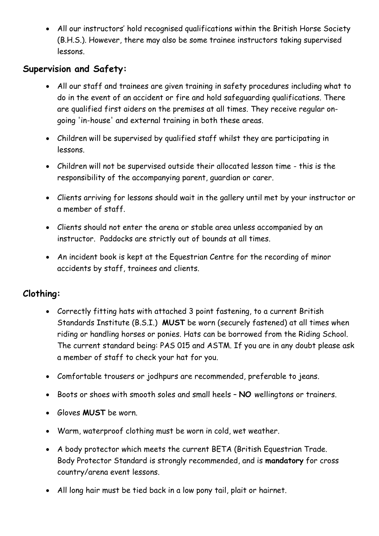All our instructors' hold recognised qualifications within the British Horse Society (B.H.S.). However, there may also be some trainee instructors taking supervised lessons.

#### **Supervision and Safety:**

- All our staff and trainees are given training in safety procedures including what to do in the event of an accident or fire and hold safeguarding qualifications. There are qualified first aiders on the premises at all times. They receive regular ongoing 'in-house' and external training in both these areas.
- Children will be supervised by qualified staff whilst they are participating in lessons.
- Children will not be supervised outside their allocated lesson time this is the responsibility of the accompanying parent, guardian or carer.
- Clients arriving for lessons should wait in the gallery until met by your instructor or a member of staff.
- Clients should not enter the arena or stable area unless accompanied by an instructor. Paddocks are strictly out of bounds at all times.
- An incident book is kept at the Equestrian Centre for the recording of minor accidents by staff, trainees and clients.

## **Clothing:**

- Correctly fitting hats with attached 3 point fastening, to a current British Standards Institute (B.S.I.) **MUST** be worn (securely fastened) at all times when riding or handling horses or ponies. Hats can be borrowed from the Riding School. The current standard being: PAS 015 and ASTM. If you are in any doubt please ask a member of staff to check your hat for you.
- Comfortable trousers or jodhpurs are recommended, preferable to jeans.
- Boots or shoes with smooth soles and small heels **NO** wellingtons or trainers.
- Gloves **MUST** be worn.
- Warm, waterproof clothing must be worn in cold, wet weather.
- A body protector which meets the current BETA (British Equestrian Trade. Body Protector Standard is strongly recommended, and is **mandatory** for cross country/arena event lessons.
- All long hair must be tied back in a low pony tail, plait or hairnet.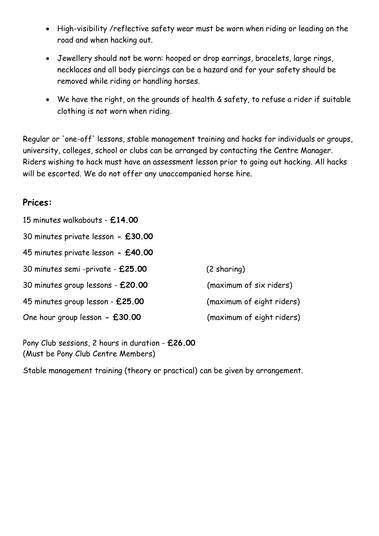- High-visibility /reflective safety wear must be worn when riding or leading on the road and when hacking out.
- Jewellery should not be worn: hooped or drop earrings, bracelets, large rings, necklaces and all body piercings can be a hazard and for your safety should be removed while riding or handling horses.
- We have the right, on the grounds of health & safety, to refuse a rider if suitable clothing is not worn when riding.

Regular or 'one-off' lessons, stable management training and hacks for individuals or groups, university, colleges, school or clubs can be arranged by contacting the Centre Manager. Riders wishing to hack must have an assessment lesson prior to going out hacking. All hacks will be escorted. We do not offer any unaccompanied horse hire.

#### **Prices:**

| 15 minutes walkabouts - £14.00     |                           |
|------------------------------------|---------------------------|
| 30 minutes private lesson - £30.00 |                           |
| 45 minutes private lesson - £40.00 |                           |
| 30 minutes semi -private - £25.00  | $(2 \, sharing)$          |
| 30 minutes group lessons - £20.00  | (maximum of six riders)   |
| 45 minutes group lesson - £25.00   | (maximum of eight riders) |
| One hour group lesson - £30.00     | (maximum of eight riders) |

Pony Club sessions, 2 hours in duration - **£26.00** (Must be Pony Club Centre Members)

Stable management training (theory or practical) can be given by arrangement.